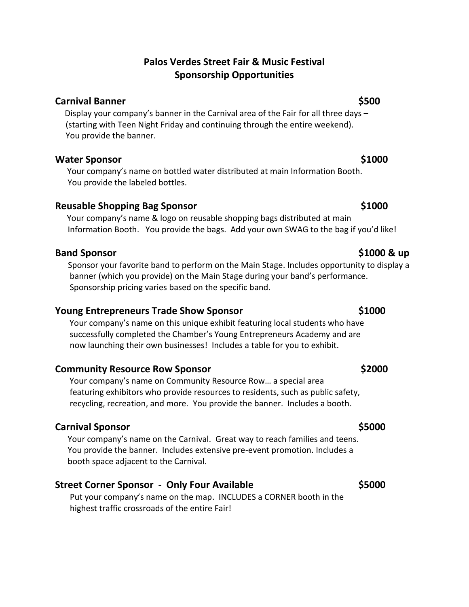## **Palos Verdes Street Fair & Music Festival Sponsorship Opportunities**

### **Carnival Banner \$500**

Display your company's banner in the Carnival area of the Fair for all three days – (starting with Teen Night Friday and continuing through the entire weekend). You provide the banner.

## **Water Sponsor \$1000**

Your company's name on bottled water distributed at main Information Booth. You provide the labeled bottles.

## **Reusable Shopping Bag Sponsor \$1000 \$1000**

Your company's name & logo on reusable shopping bags distributed at main Information Booth. You provide the bags. Add your own SWAG to the bag if you'd like!

### **Band Sponsor \$1000 & up**

 Sponsor your favorite band to perform on the Main Stage. Includes opportunity to display a banner (which you provide) on the Main Stage during your band's performance. Sponsorship pricing varies based on the specific band.

## **Young Entrepreneurs Trade Show Sponsor \$1000**

 Your company's name on this unique exhibit featuring local students who have successfully completed the Chamber's Young Entrepreneurs Academy and are now launching their own businesses! Includes a table for you to exhibit.

## **Community Resource Row Sponsor <b>6.2000 \$2000**

Your company's name on Community Resource Row… a special area featuring exhibitors who provide resources to residents, such as public safety, recycling, recreation, and more. You provide the banner. Includes a booth.

## **Carnival Sponsor \$5000**

 Your company's name on the Carnival. Great way to reach families and teens. You provide the banner. Includes extensive pre-event promotion. Includes a booth space adjacent to the Carnival.

## **Street Corner Sponsor - Only Four Available \$5000**

Put your company's name on the map. INCLUDES a CORNER booth in the highest traffic crossroads of the entire Fair!